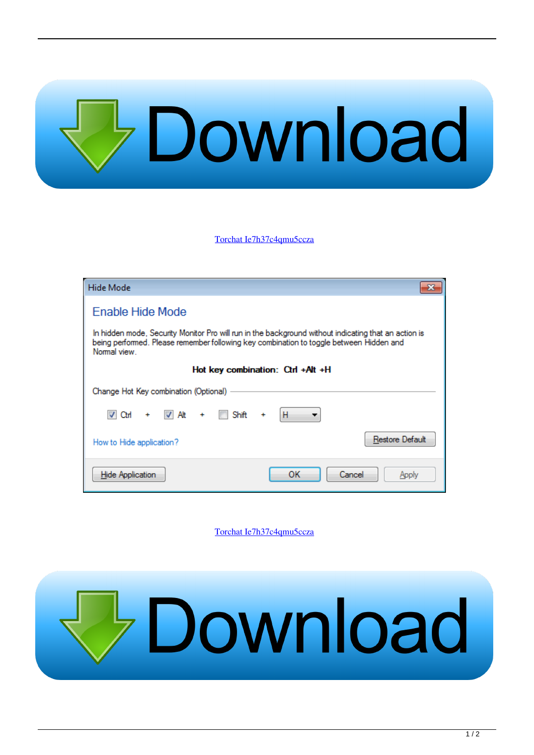## Download

[Torchat Ie7h37c4qmu5ccza](https://tiurll.com/1qatux)

| Hide Mode                                                                                                                                                                                                       |                       |
|-----------------------------------------------------------------------------------------------------------------------------------------------------------------------------------------------------------------|-----------------------|
| Enable Hide Mode                                                                                                                                                                                                |                       |
| In hidden mode, Security Monitor Pro will run in the background without indicating that an action is<br>being performed. Please remember following key combination to toggle between Hidden and<br>Normal view. |                       |
| Hot key combination: Ctrl +Alt +H                                                                                                                                                                               |                       |
| Change Hot Key combination (Optional)                                                                                                                                                                           |                       |
| $\vee$ At<br>Shift<br>V Ctrl                                                                                                                                                                                    | н<br>÷                |
| How to Hide application?                                                                                                                                                                                        | Restore Default       |
| <b>Hide Application</b>                                                                                                                                                                                         | Cancel<br>ок<br>Apply |

[Torchat Ie7h37c4qmu5ccza](https://tiurll.com/1qatux)